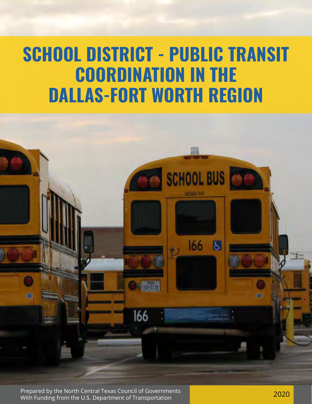### **SCHOOL DISTRICT - PUBLIC TRANSIT COORDINATION IN THE DALLAS-FORT WORTH REGION**



Prepared by the North Central Texas Council of Governments Prepared by the North Central Texas Council of Governments<br>With Funding from the U.S. Department of Transportation 2002 2020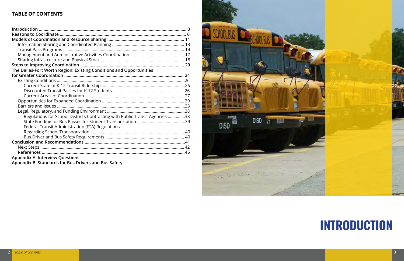# **INTRODUCTION**

### **TABLE OF CONTENTS**

| The Dallas-Fort Worth Region: Existing Conditions and Opportunities          |  |
|------------------------------------------------------------------------------|--|
|                                                                              |  |
|                                                                              |  |
|                                                                              |  |
|                                                                              |  |
|                                                                              |  |
|                                                                              |  |
|                                                                              |  |
|                                                                              |  |
| Regulations for School Districts Contracting with Public Transit Agencies 38 |  |
|                                                                              |  |
| Federal Transit Administration (FTA) Regulations                             |  |
|                                                                              |  |
|                                                                              |  |
|                                                                              |  |
|                                                                              |  |
|                                                                              |  |
| <b>Appendix A: Interview Questions</b>                                       |  |
| Appendix B. Standards for Bus Drivers and Bus Safety                         |  |

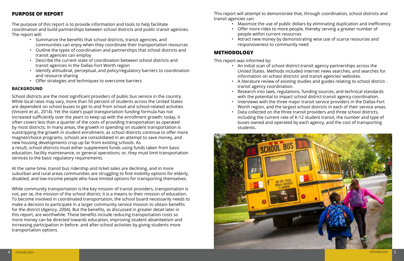#### **PURPOSE OF REPORT**

The purpose of this report is to provide information and tools to help facilitate coordination and build partnerships between school districts and public transit agencies. The report will:

- Summarize the benefits that school districts, transit agencies, and communities can enjoy when they coordinate their transportation resources
- Outline the types of coordination and partnerships that school districts and transit agencies can employ
- Describe the current state of coordination between school districts and transit agencies in the Dallas-Fort Worth region
- Identify attitudinal, perceptual, and policy/regulatory barriers to coordination and resource sharing
- Offer strategies and techniques to overcome barriers

#### **BACKGROUND**

School districts are the most significant providers of public bus service in the country. While local rates may vary, more than 50 percent of students across the United States are dependent on school buses to get to and from school and school-related activities (Vincent et al., 2014). Yet the state's pupil transportation funding formula has not increased sufficiently over the years to keep up with the enrollment growth; today, it often covers less than a quarter of the costs of providing transportation as operated by most districts. In many areas, the growth in spending on student transportation is outstripping the growth in student enrollment, as school districts continue to offer more magnet/choice programs, schools are consolidated in an attempt to save money, and new housing developments crop up far from existing schools. As a result, school districts must either supplement funds using funds taken from basic education, facility maintenance, or general operations; or, they must limit transportation services to the basic regulatory requirements.

At the same time, transit bus ridership and ticket sales are declining, and in more suburban and rural areas communities are struggling to find mobility options for elderly, disabled, and low-income people who have limited options for transporting themselves.

While community transportation is the key mission of transit providers, transportation is not, per se, the mission of the school district; it is a means to their mission of education. To become involved in coordinated transportation, the school board necessarily needs to make a decision to participate in a larger community service mission to obtain benefits for the district (Agency, 2004). But the benefits, as discussed in greater detail later in this report, are worthwhile. These benefits include reducing transportation costs so more money can be directed towards education, improving student absenteeism and increasing participation in before- and after-school activities by giving students more transportation options.

This report will attempt to demonstrate that, through coordination, school districts and transit agencies can:

- Maximize the use of public dollars by eliminating duplication and inefficiency people within current resources
- Offer more rides to more people, thereby serving a greater number of
- Attract new money by demonstrating wise use of scarce resources and responsiveness to community need

#### **METHODOLOGY**

This report was informed by:

• An initial scan of school district-transit agency partnerships across the United States. Methods included internet news searches, and searches for information on school districts' and transit agencies' websites.

• A literature review of existing studies and guides relating to school district -

- 
- transit agency coordination.
- 
- 
- students.



• Research into laws, regulations, funding sources, and technical standards with the potential to impact school district-transit agency coordination. • Interviews with the three major transit service providers in the Dallas-Fort Worth region, and the largest school districts in each of their service areas. • Data collected on the three transit providers and three school districts, including the current rate of K-12 student transit, the number and type of buses owned and operated by each agency, and the cost of transporting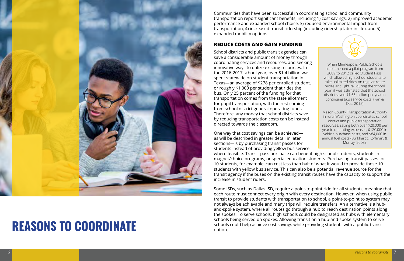

# **REASONS TO COORDINATE**

Communities that have been successful in coordinating school and community transportation report significant benefits, including 1) cost savings, 2) improved academic performance and expanded school choice, 3) reduced environmental impact from transportation, 4) increased transit ridership (including ridership later in life), and 5) expanded mobility options.

#### **REDUCE COSTS AND GAIN FUNDING**

Some ISDs, such as Dallas ISD, require a point-to-point ride for all students, meaning that each route must connect every origin with every destination. However, when using public transit to provide students with transportation to school, a point-to-point to system may not always be achievable and many trips will require transfers. An alternative is a huband-spoke system, where all routes go through a hub to reach destination points along the spokes. To serve schools, high schools could be designated as hubs with elementary schools being served on spokes. Allowing transit on a hub-and-spoke system to serve schools could help achieve cost savings while providing students with a public transit option.



School districts and public transit agencies can save a considerable amount of money through coordinating services and resources, and seeking innovative ways to utilize existing resources. In the 2016-2017 school year, over \$1.4 billion was spent statewide on student transportation in Texas—an average of \$278 per enrolled student, or roughly \$1,000 per student that rides the bus. Only 25 percent of the funding for that transportation comes from the state allotment for pupil transportation, with the rest coming from school district general operating funds. Therefore, any money that school districts save by reducing transportation costs can be instead directed towards the classroom.

One way that cost savings can be achieved as will be described in greater detail in later sections—is by purchasing transit passes for students instead of providing yellow bus service where feasible. Transit pass purchase can benefit high school students, students in magnet/choice programs, or special education students. Purchasing transit passes for 10 students, for example, can cost less than half of what it would to provide those 10 students with yellow bus service. This can also be a potential revenue source for the transit agency if the buses on the existing transit routes have the capacity to support the increase in student riders. vehicle purchase costs, and \$84,000 in annual fuel costs (Burkhardt, Koffman, & Murray, 2003).

When Minneapolis Public Schools implemented a pilot program from 2009 to 2012 called Student Pass, which allowed high school students to take unlimited rides on regular-route buses and light rail during the school year, it was estimated that the school district saved \$1.55 million per year in continuing bus service costs. (Fan & Das, 2015)

Mason County Transportation Authority in rural Washington coordinates school district and public transportation resources, saving both over \$20,000 per year in operating expenses, \$120,000 in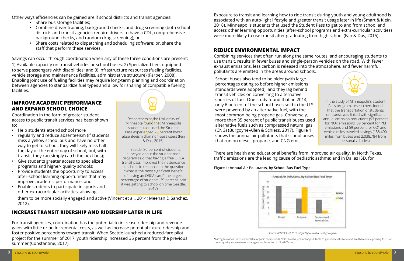#### **IMPROVE ACADEMIC PERFORMANCE AND EXPAND SCHOOL CHOICE**

#### **INCREASE TRANSIT RIDERSHIP AND RIDERSHIP LATER IN LIFE**

For transit agencies, coordination has the potential to increase ridership and revenue gains with little or no incremental costs, as well as increase potential future ridership and foster positive perceptions toward transit. When Seattle launched a reduced-fare pilot project for the summer of 2017, youth ridership increased 35 percent from the previous summer (Constantine, 2017).

Other ways efficiencies can be gained are if school districts and transit agencies:

- Share bus storage facilities;
- Combine driver training, background checks, and drug screening (both school districts and transit agencies require drivers to have a CDL, comprehensive background checks, and random drug screening); or

• Share costs related to dispatching and scheduling software; or, share the staff that perform these services.

Savings can occur through coordination when any of these three conditions are present:

1) Available capacity on transit vehicles or school buses; 2) Specialized fleet equipped to serve passengers with disabilities; and 3) Infrastructure resources (fueling facilities, vehicle storage and maintenance facilities, administrative structure) (Farber, 2008). Enabling joint use of fueling facilities may require long-term planning and coordination between agencies to standardize fuel types and allow for sharing of compatible fueling facilities.

#### **REDUCE ENVIRONMENTAL IMPACT**

There are health and educational benefits from improved air quality. In North Texas, traffic emissions are the leading cause of pediatric asthma; and in Dallas ISD, for

#### **Figure 1: Annual Air Pollutants, by School Bus Fuel Type**



*Source: AFLEET Tool 2018, https://afleet-web.es.anl.gov/afleet/.*

\*Nitrogen oxides (NOx) and volatile organic compounds (VOC) are the precursor pollutants to ground-level ozone and are therefore a primary focus of the air quality improvement strategies implemented in North Texas.

School buses also tend to be older (with large percentages dating to before higher emissions standards were adopted), and they lag behind transit vehicles on converting to alternative sources of fuel. One study found that, in 2014, only 6 percent of the school buses sold in the U.S. were powered by an alternative fuel, with the most common being propane gas. Conversely, more than 35 percent of public transit buses used alternative fuels such as compressed natural gas (CNG) (Burgoyne-Allen & Schiess, 2017). Figure 1 shows the annual air pollutants that school buses that run on diesel, propane, and CNG emit.

Coordination in the form of greater student access to public transit services has been shown to:

- Help students attend school more
- regularly and reduce absenteeism (if students miss a yellow school bus and have no other way to get to school, they will likely miss half the day or the entire day of school; but, with transit, they can simply catch the next bus);
- Give students greater access to specialized programs and higher- quality schools;
- Provide students the opportunity to access after-school learning opportunities that may improve academic performance; and
- Enable students to participate in sports and other extracurricular activities, allowing

them to be more socially engaged and active (Vincent et al., 2014; Meehan & Sanchez, 2012).

Exposure to transit and learning how to ride transit during youth and young adulthood is associated with an auto-light lifestyle and greater transit usage later in life (Smart & Klein, 2018). Minneapolis students that used the Student Pass to get to and from school and access other learning opportunities (after-school programs and extra-curricular activities) were more likely to use transit after graduating from high school (Fan & Das, 2015).

Combining services that often run along the same routes, and encouraging students to use transit, results in fewer buses and single-person vehicles on the road. With fewer exhaust emissions, less carbon is released into the atmosphere, and fewer harmful pollutants are emitted in the areas around schools.

Researchers at the University of Minnesota found that Minneapolis students that used the Student Pass experienced 23 percent lower absenteeism than non-pass users (Fan & Das, 2015).

In Seattle, 80 percent of students surveyed about the student pass program said that having a free ORCA transit pass improved their attendance at school. In response to the question "What is the most significant benefit of having an ORCA card," the largest percentage of students, 39 percent, said it was getting to school on time (Seattle, 2017).

In the study of Minneapolis's Student Pass program, researchers found that the transportation of students on transit was linked with significant annual emission reductions (93 percent for NOx emissions, 89 percent for PM emissions and 59 percent for CO) and vehicle miles traveled savings (158,400 miles from buses and 2,038,784 from personal vehicles).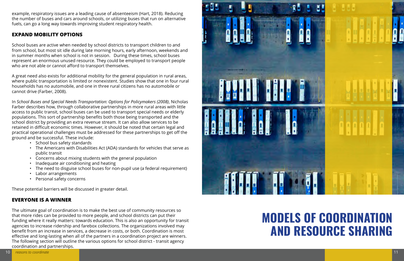example, respiratory issues are a leading cause of absenteeism (Hart, 2018). Reducing the number of buses and cars around schools, or utilizing buses that run on alternative fuels, can go a long way towards improving student respiratory health.

#### **EXPAND MOBILITY OPTIONS**

School buses are active when needed by school districts to transport children to and from school, but most sit idle during late morning hours, early afternoon, weekends and in summer months when school is not in session. During these times, school buses represent an enormous unused resource. They could be employed to transport people who are not able or cannot afford to transport themselves.

A great need also exists for additional mobility for the general population in rural areas, where public transportation is limited or nonexistent. Studies show that one in four rural households has no automobile, and one in three rural citizens has no automobile or cannot drive (Farber, 2008).

In *School Buses and Special Needs Transportation: Options for Policymakers (2008)*, Nicholas Farber describes how, through collaborative partnerships in more rural areas with little access to public transit, school buses can be used to transport special needs or elderly populations. This sort of partnership benefits both those being transported and the school district by providing an extra revenue stream. It can also allow services to be retained in difficult economic times. However, it should be noted that certain legal and practical operational challenges must be addressed for these partnerships to get off the ground and be successful. These include:

- School bus safety standards
- The Americans with Disabilities Act (ADA) standards for vehicles that serve as public transit
- Concerns about mixing students with the general population
- Inadequate air conditioning and heating
- The need to disguise school buses for non-pupil use (a federal requirement)
- Labor arrangements
- Personal safety concerns

These potential barriers will be discussed in greater detail.

### **EVERYONE IS A WINNER**

The ultimate goal of coordination is to make the best use of community resources so that more rides can be provided to more people, and school districts can put their funding where it really matters: towards education. This is also an opportunity for transit agencies to increase ridership and farebox collections. The organizations involved may benefit from an increase in services, a decrease in costs, or both. Coordination is most effective and long-lasting when all of the partners in a coordination project are winners. The following section will outline the various options for school district - transit agency coordination and partnerships.



## **MODELS OF COORDINATION AND RESOURCE SHARING**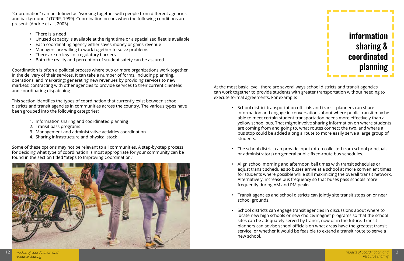"Coordination" can be defined as "working together with people from different agencies and backgrounds" (TCRP, 1999). Coordination occurs when the following conditions are present: (Andrle et al., 2003)

- There is a need
- Unused capacity is available at the right time or a specialized fleet is available
- Each coordinating agency either saves money or gains revenue
- Managers are willing to work together to solve problems
- There are no legal or regulatory barriers
- Both the reality and perception of student safety can be assured

Coordination is often a political process where two or more organizations work together in the delivery of their services. It can take a number of forms, including planning, operations, and marketing; generating new revenues by providing services to new markets; contracting with other agencies to provide services to their current clientele; and coordinating dispatching.

This section identifies the types of coordination that currently exist between school districts and transit agencies in communities across the country. The various types have been grouped into the following categories:

- 1. Information sharing and coordinated planning
- 2. Transit pass programs
- 3. Management and administrative activities coordination
- 4. Sharing infrastructure and physical stock

Some of these options may not be relevant to all communities. A step-by-step process for deciding what type of coordination is most appropriate for your community can be found in the section titled "Steps to Improving Coordination."



At the most basic level, there are several ways school districts and transit agencies can work together to provide students with greater transportation without needing to execute formal agreements. For example:

> • School district transportation officials and transit planners can share information and engage in conversations about where public transit may be able to meet certain student transportation needs more effectively than a yellow school bus. That might involve sharing information on where students are coming from and going to, what routes connect the two, and where a bus stop could be added along a route to more easily serve a large group of

• The school district can provide input (often collected from school principals or administrators) on general public fixed-route bus schedules.

• Align school morning and afternoon bell times with transit schedules or adjust transit schedules so buses arrive at a school at more convenient times for students where possible while still maximizing the overall transit network. Alternatively, increase bus frequency so that buses pass schools more

- students.
- 
- frequently during AM and PM peaks.
- school grounds.
- new school.

• Transit agencies and school districts can jointly site transit stops on or near

• School districts can engage transit agencies in discussions about where to locate new high schools or new choice/magnet programs so that the school sites can be adequately served by transit, now or in the future. Transit planners can advise school officials on what areas have the greatest transit service, or whether it would be feasible to extend a transit route to serve a

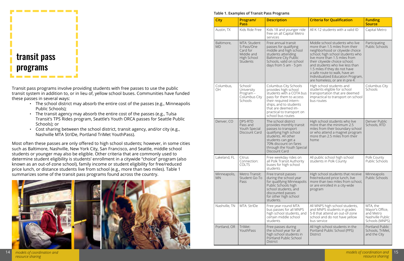*models of coordination and resource sharing*



Transit pass programs involve providing students with free passes to use the public transit system in addition to, or in lieu of, yellow school buses. Communities have funded these passes in several ways:

- The school district may absorb the entire cost of the passes (e.g., Minneapolis Public Schools);
- The transit agency may absorb the entire cost of the passes (e.g., Tulsa Transit's TPS Rides program, Seattle's Youth ORCA passes for Seattle Public Schools); or
- Cost sharing between the school district, transit agency, and/or city (e.g., Nashville MTA StrIDe, Portland TriMet YouthPass).

Most often these passes are only offered to high school students; however, in some cities such as Baltimore, Nashville, New York City, San Francisco, and Seattle, middle school students or younger may also be eligible. Other criteria that are commonly used to determine student eligibility is students' enrollment in a citywide "choice" program (also known as an out-of-zone school), family income or student eligibility for free/reduced price lunch, or distance students live from school (e.g., more than two miles). Table 1 summarizes some of the transit pass programs found across the country.



#### **Table 1. Examples of Transit Pass Programs**

| <b>City</b>               | Program/<br>Pass                                                                       | <b>Description</b>                                                                                                                                                                                                                | <b>Criteria for Qualification</b>                                                                                                                                                                                                                                                                                                                                                                                        | <b>Funding</b><br><b>Source</b>                                                |
|---------------------------|----------------------------------------------------------------------------------------|-----------------------------------------------------------------------------------------------------------------------------------------------------------------------------------------------------------------------------------|--------------------------------------------------------------------------------------------------------------------------------------------------------------------------------------------------------------------------------------------------------------------------------------------------------------------------------------------------------------------------------------------------------------------------|--------------------------------------------------------------------------------|
| Austin, TX                | Kids Ride Free                                                                         | Kids 18 and younger ride<br>free on all Capital Metro<br>services                                                                                                                                                                 | All K-12 students with a valid ID<br>Capital Metro                                                                                                                                                                                                                                                                                                                                                                       |                                                                                |
| Baltimore,<br><b>MD</b>   | MTA: Student<br>S-Pass/One<br>Card for<br>Middle and<br>High School<br><b>Students</b> | Free annual transit<br>passes for qualifying<br>middle and high school<br>students attending<br><b>Baltimore City Public</b><br>Schools, valid on school<br>days from 5 am - 5 pm                                                 | Middle school students who live<br>Participating<br>more than 1.5 miles from their<br>Public Schools<br>neighborhood or citywide choice<br>school; high school students who<br>live more than 1.5 miles from<br>their citywide choice school;<br>and students who live less than<br>1.5 miles if they do not have<br>a safe route to walk, have an<br>Individualized Education Program,<br>are homeless, or are in pre-K |                                                                                |
| Columbus,<br>OH           | School/<br>University<br>Program-<br>Columbus City<br>Schools                          | Columbus City Schools<br>provides high school<br>students with a COTA bus<br>pass for them to access<br>their required intern-<br>ships, and to students<br>that are deemed im-<br>practical to transport on<br>school bus routes | High school students and<br>students eligible for school<br>transportation that are deemed<br>impractical to transport on school<br>bus routes                                                                                                                                                                                                                                                                           | Columbus City<br>Schools                                                       |
| Denver, CO                | DPS-RTD<br>Pass and<br>Youth Special<br>Discount Card                                  | The school district<br>provides monthly transit<br>passes to transport<br>qualifying high school<br>students. All other<br>students can get a<br>70% discount on fares<br>through the Youth Special<br>Discount Card              | High school students who live<br>more than the minimum 2.5<br>miles from their boundary school<br>or who attend a magnet program<br>more than 2.5 miles from their<br>home                                                                                                                                                                                                                                               | Denver Public<br>Schools, RTD                                                  |
| Lakeland, FL              | Citrus<br>Connection:<br><b>COLTS</b>                                                  | Free weekday rides on<br>all Polk Transit Authority<br>buses for high school<br>students                                                                                                                                          | All public school high school<br>students in Polk County                                                                                                                                                                                                                                                                                                                                                                 | Polk County<br>Public Schools                                                  |
| Minneapolis,<br><b>MN</b> | Metro Transit:<br>Student Go-To<br>Pass                                                | Free transit passes<br>during the school year<br>for qualifying Minneapolis<br>Public Schools high<br>school students, and<br>discounted passes<br>for other high school<br>students.                                             | High school students that receive<br>free/reduced price lunch, live<br>more than two miles from school,<br>or are enrolled in a city-wide<br>program                                                                                                                                                                                                                                                                     | Minneapolis<br><b>Public Schools</b>                                           |
| Nashville, TN             | MTA: StrIDe                                                                            | Free year-round MTA<br>bus passes for all MNPS<br>high school students, and<br>certain middle school<br>students                                                                                                                  | All MNPS high school students,<br>and MNPS students in grades<br>5-8 that attend an out-of-zone<br>school and do not have yellow<br>bus service                                                                                                                                                                                                                                                                          | MTA, the<br>Mayor's Office,<br>and Metro<br>Nashville Public<br>Schools (MNPS) |
| Portland, OR              | TriMet:<br>YouthPass                                                                   | Free passes during<br>the school year for all<br>high school students in<br>Portland Public School<br><b>District</b>                                                                                                             | All high school students in the<br>Portland Public School (PPS)<br><b>District</b>                                                                                                                                                                                                                                                                                                                                       | Portland Public<br>Schools, TriMet,<br>and the City                            |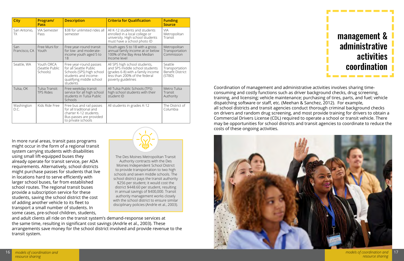| <b>City</b>          | Program/<br><b>Pass</b>                   | <b>Description</b>                                                                                                                            | <b>Criteria for Qualification</b>                                                                                                                           | <b>Funding</b><br><b>Source</b>                                |
|----------------------|-------------------------------------------|-----------------------------------------------------------------------------------------------------------------------------------------------|-------------------------------------------------------------------------------------------------------------------------------------------------------------|----------------------------------------------------------------|
| San Antonio,<br>ТX   | <b>VIA Semester</b><br>Pass               | \$38 for unlimited rides all<br>semester                                                                                                      | All K-12 students and students<br>enrolled in a local college or<br>university. High school students<br>must have a school photo ID                         | <b>VIA</b><br>Metropolitan<br>Transit                          |
| San<br>Francisco, CA | Free Muni for<br>Youth                    | Free year-round transit<br>for low- and moderate-<br>income youth aged 5 to<br>18                                                             | Youth ages 5 to 18 with a gross<br>annual family income at or below<br>100% of the Bay Area Median<br>Income level                                          | Metropolitan<br>Transportation<br>Commission                   |
| Seattle, WA          | Youth ORCA<br>(Seattle Public<br>Schools) | Free year-round passes<br>for all Seattle Public<br>Schools (SPS) high school<br>students and income-<br>qualifying middle school<br>students | All SPS high school students,<br>and SPS middle school students<br>(grades 6-8) with a family income<br>less than 200% of the federal<br>poverty guidelines | Seattle<br>Transportation<br><b>Benefit District</b><br>(STBD) |
| Tulsa, OK            | Tulsa Transit:<br><b>TPS Rides</b>        | Free weekday transit<br>service for all high school<br>students in Tulsa Public<br><b>Schools</b>                                             | All Tulsa Public Schools (TPS)<br>high school students with their<br>student ID                                                                             | Metro Tulsa<br>Transit<br>Authority                            |
| Washington<br>D.C.   | Kids Ride Free                            | Free bus and rail passes<br>for all traditional and<br>charter K-12 students.<br>Bus passes are provided<br>to private schools                | All students in grades K-12                                                                                                                                 | The District of<br>Columbia                                    |

In more rural areas, transit pass programs might occur in the form of a regional transit system carrying students with disabilities using small lift-equipped buses they already operate for transit service, per ADA requirements. Alternatively, school districts might purchase passes for students that live in locations hard to serve efficiently with larger school buses, far from established school routes. The regional transit buses provide a subscription service for these students, saving the school district the cost of adding another vehicle to its fleet to transport a small number of students. In some cases, pre-school children, students,



and adult clients all ride on the transit system's demand-response services at the same time, resulting in significant cost savings (Andrle et al., 2003). These arrangements save money for the school district involved and provide revenue to the transit system.



Coordination of management and administrative activities involves sharing timeconsuming and costly functions such as driver background checks, drug screening, training, and licensing; vehicle maintenance; purchasing of tires, parts, and fuel; vehicle dispatching software or staff, etc. (Meehan & Sanchez, 2012). For example, all school districts and transit agencies conduct thorough criminal background checks on drivers and random drug screening, and most provide training for drivers to obtain a Commercial Drivers License (CDL) required to operate a school or transit vehicle. There may be opportunities for school districts and transit agencies to coordinate to reduce the costs of these ongoing activities.

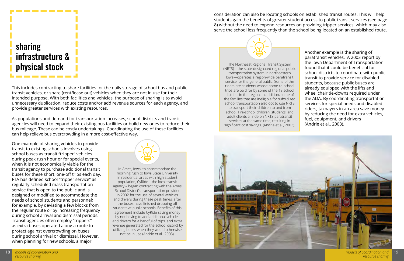### sharing infrastructure & physical stock . . . . . . . . .

--------

This includes contracting to share facilities for the daily storage of school bus and public transit vehicles, or share (rent/lease out) vehicles when they are not in use for their intended purpose. With both facilities and vehicles, the purpose of sharing is to avoid unnecessary duplication, reduce costs and/or add revenue sources for each agency, and provide greater services with existing resources.

As populations and demand for transportation increases, school districts and transit agencies will need to expand their existing bus facilities or build new ones to reduce their bus mileage. These can be costly undertakings. Coordinating the use of these facilities can help relieve bus overcrowding in a more cost-effective way.

One example of sharing vehicles to provide transit to existing schools involves using school buses as transit "tripper" vehicles during peak rush hour or for special events, when it is not economically viable for the transit agency to purchase additional transit buses for these short, one-off trips each day. FTA has defined school "tripper service" as regularly scheduled mass transportation service that is open to the public and is designed or modified to accommodate the needs of school students and personnel; for example, by deviating a few blocks from the regular route or by increasing frequency during school arrival and dismissal periods. Transit agencies often employ "trippers" as extra buses operated along a route to protect against overcrowding on buses during school arrival or dismissal. However, when planning for new schools, a major



In Ames, Iowa, to accommodate the morning rush to Iowa State University in residential areas with high student population, CyRide – the local transit agency – began contracting with the Ames School District's transportation provider in 2002 for the use of several vehicles and drivers during these peak times, after the buses have finished dropping off students at public schools. Benefits of this agreement include CyRide saving money by not having to add additional vehicles and drivers for a handful of trips, and extra revenue generated for the school district by utilizing buses when they would otherwise not be in use (Andrle et al., 2003).

Another example is the sharing of paratransit vehicles. A 2003 report by the Iowa Department of Transportation found that it could be beneficial for school districts to coordinate with public transit to provide service for disabled students, because public buses are already equipped with the lifts and wheel chair tie-downs required under the ADA. By coordinating transportation services for special needs and disabled riders, taxpayers in an area save money by reducing the need for extra vehicles, fuel, equipment, and drivers (Andrle et al., 2003).

The Northeast Regional Transit System (NRTS)—the state-designated regional public transportation system in northeastern Iowa—operates a region-wide paratransit service for the general public. Some of the riders are students whose home-to-school trips are paid for by some of the 18 school districts in the region. In addition, some of the families that are ineligible for subsidized school transportation also opt to use NRTS to transport their children to and from school. Pre-school children, students, and adult clients all ride on NRTS paratransit services at the same time, resulting in significant cost savings. (Andrle et al., 2003).



consideration can also be locating schools on established transit routes. This will help students gain the benefits of greater student access to public transit services (see page 8) without the need to expend resources on providing tripper services, which may also serve the school less frequently than the school being located on an established route.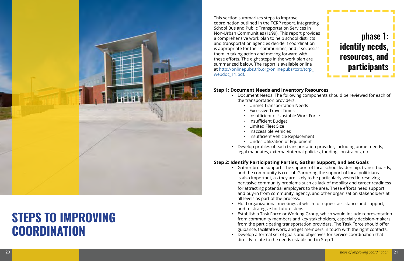

### **STEPS TO IMPROVING COORDINATION**



This section summarizes steps to improve coordination outlined in the TCRP report, Integrating School Bus and Public Transportation Services in Non-Urban Communities (1999). This report provides a comprehensive work plan to help school districts and transportation agencies decide if coordination is appropriate for their communities, and if so, assist them in taking action and moving forward with these efforts. The eight steps in the work plan are summarized below. The report is available online at [http://onlinepubs.trb.org/onlinepubs/tcrp/tcrp\\_](http://onlinepubs.trb.org/onlinepubs/tcrp/tcrp_webdoc_11.pdf) [webdoc\\_11.pdf.](http://onlinepubs.trb.org/onlinepubs/tcrp/tcrp_webdoc_11.pdf)

#### **Step 1: Document Needs and Inventory Resources**

• Document Needs: The following components should be reviewed for each of

- the transportation providers.
	- Unmet Transportation Needs<br>• Excessive Travel Times
	-
	- Insufficient or Unstable Work Force
	- Insufficient Budget
	-
	- Limited Fleet Size<br>• Inaccessible Vehicles<br>• Insufficient Vehicle Replacement
	-
	- Under-Utilization of Equipment
- 

• Develop profiles of each transportation provider, including unmet needs, legal mandates, external/internal policies, funding constraints, etc.

#### **Step 2: Identify Participating Parties, Gather Support, and Set Goals**

• Gather broad support. The support of local school leadership, transit boards, and the community is crucial. Garnering the support of local politicians is also important, as they are likely to be particularly vested in resolving pervasive community problems such as lack of mobility and career readiness for attracting potential employers to the area. These efforts need support and buy-in from community, agency, and other organization stakeholders at

• Hold organizational meetings at which to request assistance and support,

- all levels as part of the process.
- and to strategize for future steps.
- 
- directly relate to the needs established in Step 1.

• Establish a Task Force or Working Group, which would include representation from community members and key stakeholders, especially decision-makers from the participating transportation providers. The Task Force should offer guidance, facilitate work, and get members in touch with the right contacts. • Develop a formal set of goals and objectives for service coordination that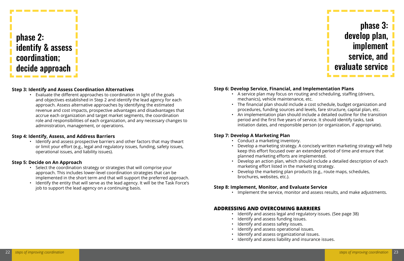

#### **Step 6: Develop Service, Financial, and Implementation Plans**

• A service plan may focus on routing and scheduling, staffing (drivers,

- mechanics), vehicle maintenance, etc.
- 
- 

• The financial plan should include a cost schedule, budget organization and procedures, funding sources and levels, fare structure, capital plan, etc. • An implementation plan should include a detailed outline for the transition period and the first five years of service. It should identify tasks, task initiation dates, and responsible person (or organization, if appropriate).

#### **Step 7: Develop A Marketing Plan**

• Develop a marketing strategy. A concisely written marketing strategy will help keep this effort focused over an extended period of time and ensure that

- Conduct a marketing inventory.
- planned marketing efforts are implemented.
- marketing effort listed in the marketing strategy.
- brochures, websites, etc.).

• Develop an action plan, which should include a detailed description of each

• Develop the marketing plan products (e.g., route maps, schedules,

#### **Step 8: Implement, Monitor, and Evaluate Service**

• Implement the service, monitor and assess results, and make adjustments.

- 
- 

#### **ADDRESSING AND OVERCOMING BARRIERS**

- Identify and assess legal and regulatory issues. (See page 38)
- Identify and assess funding issues.
- Identify and assess safety issues.
- Identify and assess operational issues.
- Identify and assess organizational issues.
- Identify and assess liability and insurance issues.



. . . . . . . . .

#### **Step 3: Identify and Assess Coordination Alternatives**

• Evaluate the different approaches to coordination in light of the goals and objectives established in Step 2 and identify the lead agency for each approach. Assess alternative approaches by identifying the estimated revenue and cost impacts, prospective advantages and disadvantages that accrue each organization and target market segments, the coordination role and responsibilities of each organization, and any necessary changes to administration, management, or operations.

#### **Step 4: Identify, Assess, and Address Barriers**

• Identify and assess prospective barriers and other factors that may thwart or limit your effort (e.g., legal and regulatory issues, funding, safety issues, operational issues, and liability issues).

#### **Step 5: Decide on An Approach**

- Select the coordination strategy or strategies that will comprise your approach. This includes lower-level coordination strategies that can be implemented in the short term and that will support the preferred approach.
- Identify the entity that will serve as the lead agency. It will be the Task Force's job to support the lead agency on a continuing basis.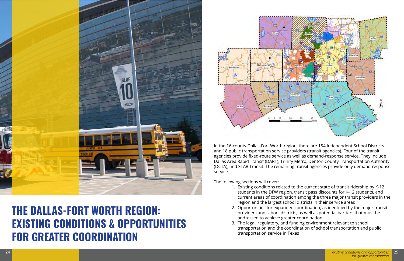

### **THE DALLAS-FORT WORTH REGION: EXISTING CONDITIONS & OPPORTUNITIES FOR GREATER COORDINATION**



In the 16-county Dallas-Fort Worth region, there are 154 Independent School Districts and 18 public transportation service providers (transit agencies). Four of the transit agencies provide fixed-route service as well as demand-response service. They include Dallas Area Rapid Transit (DART), Trinity Metro, Denton County Transportation Authority (DCTA), and STAR Transit. The remaining transit agencies provide only demand-response service.

The following sections will cover:

1. Existing conditions related to the current state of transit ridership by K-12 students in the DFW region, transit pass discounts for K-12 students, and current areas of coordination among the three major transit providers in the

2. Opportunities for expanded coordination, as identified by the major transit providers and school districts, as well as potential barriers that must be

- region and the largest school districts in their service areas
- addressed to achieve greater coordination
- transportation service in Texas

3. The legal, regulatory, and funding environment relevant to school transportation and the coordination of school transportation and public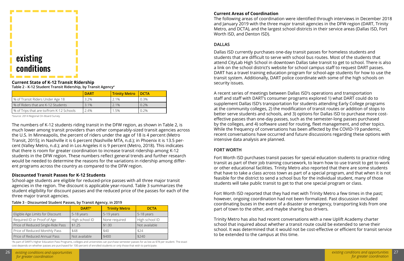

#### **Current State of K-12 Transit Ridership**

**Table 2 - K-12 Student Transit Ridership, by Transit Agencya**

|                                            | <b>DART</b> | <b>Trinity Metro</b> | <b>I</b> DCTA |
|--------------------------------------------|-------------|----------------------|---------------|
| │ % of Transit Riders Under Age 18         | $3.2\%$     | 2.1%                 | 0.3%          |
| % of Riders that are K-12 Students         | 3.1%        | $2.1\%$              | 0.2%          |
| Ⅰ % of Trips that are to/from K-12 Schools | 2.4%        | 1.5%                 | $0.2\%$       |

a Source: 2014 Regional On-Board Survey

The numbers of K-12 students riding transit in the DFW region, as shown in Table 2, is much lower among transit providers than other comparably-sized transit agencies across the U.S. In Minneapolis, the percent of riders under the age of 18 is 4 percent (Metro Transit, 2015); in Nashville it is 6 percent (Nashville MTA, n.d.); in Phoenix it is 13.5 percent (Valley Metro, n.d.); and in Los Angeles it is 9 percent (Metro, 2018). This indicates that there is room for greater coordination to increase transit ridership among K-12 students in the DFW region. These numbers reflect general trends and further research would be needed to determine the reasons for the variations in ridership among different programs across the country as compared to the DFW region.

#### **Discounted Transit Passes for K-12 Students**

School-age students are eligible for reduced-price passes with all three major transit agencies in the region. The discount is applicable year-round. Table 3 summarizes the student eligibility for discount passes and the reduced price of the passes for each of the three major transit agencies.

**Table 3 - Discounted Student Passes, by Transit Agency, in 2019**

|                                   | <b>DART</b> <sup>a</sup> | <b>Trinity Metro</b> | <b>DCTA</b>    |  |  |  |
|-----------------------------------|--------------------------|----------------------|----------------|--|--|--|
| Eligible Age Limits for Discount  | 5-18 years               | 5-19 years           | 5-18 years     |  |  |  |
| Required ID or Proof of Age       | High school ID           | None required        | High school ID |  |  |  |
| Price of Reduced Single-Ride Pass | \$1.25                   | \$1.00               | Not available  |  |  |  |
| Price of Reduced Monthly Pass     | \$48                     | \$40                 | \$24           |  |  |  |
| Price of Reduced Annual Pass      | Not available            | \$400                | \$240          |  |  |  |

a As part of DART's Higher Education Pass Programs, colleges and universities can purchase semester passes for as low as \$78 per student. The exact cost depends on whether passes are purchased for 100 percent of enrolled students or only those that wish to participate.

#### **Current Areas of Coordination**

The following areas of coordination were identified through interviews in December 2018 and January 2019 with the three major transit agencies in the DFW region (DART, Trinity Metro, and DCTA), and the largest school districts in their service areas (Dallas ISD, Fort Worth ISD, and Denton ISD).

#### **DALLAS**

Dallas ISD currently purchases one-day transit passes for homeless students and students that are difficult to serve with school bus routes. Most of the students that attend CityLab High School in downtown Dallas take transit to get to school. There is also a link on the school district's website for school campus staff to request DART passes. DART has a travel training education program for school-age students for how to use the transit system. Additionally, DART police coordinate with some of the high schools on security issues.

A recent series of meetings between Dallas ISD's operations and transportation staff and staff with DART's consumer programs explored 1) what DART could do to supplement Dallas ISD's transportation for students attending Early College programs at the community colleges, 2) the modification of transit routes or addition of stops to better serve students and schools, and 3) options for Dallas ISD to purchase more costeffective passes than one-day passes, such as the semester-long passes purchased by the colleges, and 4) software used for routing, fleet management, and other topics. While the frequency of conversations has been affected by the COVID-19 pandemic, recent conversations have occurred and future discussions regarding these options with intensive data analysis are planned.

#### **FORT WORTH**

Fort Worth ISD purchases transit passes for special education students to practice riding transit as part of their job training coursework, to learn how to use transit to get to work or other educational facilities. Trinity Metro also reported that there are some students that have to take a class across town as part of a special program, and that when it is not feasible for the district to send a school bus for the individual student, many of those students will take public transit to get to that one special program or class.

Fort Worth ISD reported that they had met with Trinity Metro a few times in the past; however, ongoing coordination had not been formalized. Past discussion included coordinating buses in the event of a disaster or emergency, transporting kids from one part of town to the other, and maybe sharing bus drivers.

Trinity Metro has also had recent conversations with a new Uplift Academy charter school that inquired about whether a transit route could be extended to serve their school. It was determined that it would not be cost-effective or efficient for transit service to be extended to the campus at this time.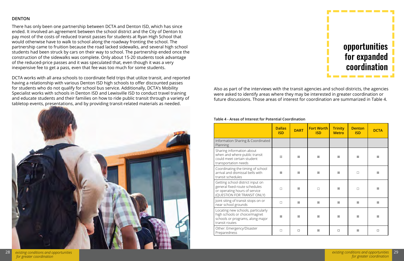

|  | ۰. |  |  |
|--|----|--|--|
|  |    |  |  |

Also as part of the interviews with the transit agencies and school districts, the agencies were asked to identify areas where they may be interested in greater coordination or future discussions. Those areas of interest for coordination are summarized in Table 4.

#### **Table 4 - Areas of Interest for Potential Coordination**

|                                                                                                                                   | <b>Dallas</b><br><b>ISD</b> | <b>DART</b> | <b>Fort Worth</b><br><b>ISD</b> | <b>Trinity</b><br><b>Metro</b> | <b>Denton</b><br><b>ISD</b> | <b>DCTA</b> |
|-----------------------------------------------------------------------------------------------------------------------------------|-----------------------------|-------------|---------------------------------|--------------------------------|-----------------------------|-------------|
| Information Sharing & Coordinated<br>Planning                                                                                     |                             |             |                                 |                                |                             |             |
| Sharing information about<br>when and where public transit<br>could meet certain student<br>transportation needs                  | $\boxtimes$                 | 冈           | 冈                               | 冈                              | 冈                           | X           |
| Coordinating the timing of school<br>arrival and dismissal bells with<br>transit schedules                                        | X                           | X           | X                               | X                              | $\Box$                      | X           |
| Getting school district input on<br>general fixed-route schedules<br>or operating hours of service<br>(QUESTION FOR TRANSIT ONLY) | $\Box$                      | X           | $\Box$                          | 冈                              | $\Box$                      | X           |
| Joint siting of transit stops on or<br>near school grounds                                                                        | $\Box$                      | X           | X                               | X                              | X                           | X           |
| Locating new schools, particularly<br>high schools or choice/magnet<br>schools or programs, along major<br>transit routes         | $\boxtimes$                 | ⊠           | X                               | X                              | X                           | 区           |
| Other: Emergency/Disaster<br>Preparedness                                                                                         | $\Box$                      | $\Box$      | X                               | $\Box$                         | X                           | $\Box$      |

#### **DENTON**

There has only been one partnership between DCTA and Denton ISD, which has since ended. It involved an agreement between the school district and the City of Denton to pay most of the costs of reduced transit passes for students at Ryan High School that would otherwise have to walk to school along the roadway fronting the school. The partnership came to fruition because the road lacked sidewalks, and several high school students had been struck by cars on their way to school. The partnership ended once the construction of the sidewalks was complete. Only about 15-20 students took advantage of the reduced-price passes and it was speculated that, even though it was a very inexpensive fee to get a pass, even that fee was too much for some students.

DCTA works with all area schools to coordinate field trips that utilize transit, and reported having a relationship with various Denton ISD high schools to offer discounted passes for students who do not qualify for school bus service. Additionally, DCTA's Mobility Specialist works with schools in Denton ISD and Lewisville ISD to conduct travel training and educate students and their families on how to ride public transit through a variety of tabletop events, presentations, and by providing transit-related materials as needed.

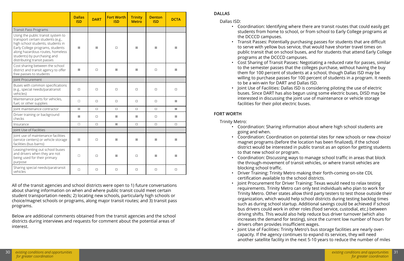|                                                                                                                                                                                                                                                    | <b>Dallas</b><br><b>ISD</b> | <b>DART</b> | <b>Fort Worth</b><br><b>ISD</b> | <b>Trinity</b><br><b>Metro</b> | <b>Denton</b><br><b>ISD</b> | <b>DCTA</b> |
|----------------------------------------------------------------------------------------------------------------------------------------------------------------------------------------------------------------------------------------------------|-----------------------------|-------------|---------------------------------|--------------------------------|-----------------------------|-------------|
| <b>Transit Pass Programs</b>                                                                                                                                                                                                                       |                             |             |                                 |                                |                             |             |
| Using the public transit system to<br>transport certain students (e.g.,<br>high school students, students in<br>Early College programs, students<br>along hazardous routes, homeless<br>students) by purchasing and<br>distributing transit passes | X                           | 冈           | $\Box$                          | X                              | 冈                           | X           |
| Cost sharing between the school<br>district and transit agency to offer<br>free passes to students                                                                                                                                                 | X                           | $\Box$      | X                               | X                              | $\Box$                      | X           |
| Joint Procurement                                                                                                                                                                                                                                  |                             |             |                                 |                                |                             |             |
| Buses with common specifications<br>(e.g., special needs/paratransit<br>vehicles)                                                                                                                                                                  | $\Box$                      | $\Box$      | $\Box$                          | $\Box$                         | $\Box$                      | $\Box$      |
| Maintenance parts for vehicles,<br>fuel, or other supplies                                                                                                                                                                                         | $\Box$                      | $\Box$      | $\Box$                          | $\Box$                         | $\Box$                      | X           |
| Joint maintenance contractor                                                                                                                                                                                                                       | $\boxtimes$                 | $\Box$      | $\Box$                          | $\Box$                         | $\Box$                      | 冈           |
| Driver training or background<br>checks                                                                                                                                                                                                            | X                           | $\Box$      | X                               | ⊠                              | $\Box$                      | ⊠           |
| Insurance                                                                                                                                                                                                                                          | $\Box$                      | $\Box$      | X                               | $\Box$                         | $\Box$                      | $\Box$      |
| Joint Use of Facilities                                                                                                                                                                                                                            |                             |             |                                 |                                |                             |             |
| Joint use of maintenance facilities<br>(service centers) or vehicle storage<br>facilities (bus barns)                                                                                                                                              | $\boxtimes$                 | $\Box$      | X                               | X                              | X                           | 冈           |
| Leasing/renting out school buses<br>and drivers when they are not<br>being used for their primary<br>purpose                                                                                                                                       | □                           | $\Box$      | X                               | $\Box$                         | X                           | 冈           |
| Sharing special needs/paratransit<br>vehicles                                                                                                                                                                                                      | $\Box$                      | $\Box$      | □                               | $\Box$                         | $\Box$                      | $\Box$      |

All of the transit agencies and school districts were open to 1) future conversations about sharing information on when and where public transit could meet certain student transportation needs; 2) locating new schools, particularly high schools or choice/magnet schools or programs, along major transit routes; and 3) transit pass programs.

Below are additional comments obtained from the transit agencies and the school districts during interviews and requests for comment about the potential areas of interest.

#### **DALLAS**

Dallas ISD:

• Coordination: Identifying where there are transit routes that could easily get students from home to school, or from school to Early College programs at

• Transit Passes: Potentially purchasing passes for students that are difficult to serve with yellow bus service, that would have shorter travel times on public transit that on school buses, and for students that attend Early College

• Cost Sharing of Transit Passes: Negotiating a reduced rate for passes, similar to the semester passes that the colleges purchase, without having the buy them for 100 percent of students at a school, though Dallas ISD may be willing to purchase passes for 100 percent of students in a program. It needs

- the DCCCD campuses.
- programs at the DCCCD campuses.
- to be a win-win for DART and Dallas ISD.
- facilities for their pilot electric buses.

• Joint Use of Facilities: Dallas ISD is considering piloting the use of electric buses. Since DART has also begun using some electric buses, DISD may be interested in discussing the joint use of maintenance or vehicle storage

#### **FORT WORTH**

Trinity Metro:

• Coordination: Sharing information about where high school students are

• Coordination: Coordination on potential sites for new schools or new choice/ magnet programs (before the location has been finalized), if the school district would be interested in public transit as an option for getting students

• Coordination: Discussing ways to manage school traffic in areas that block the through-movement of transit vehicles, or where transit vehicles are

• Driver Training: Trinity Metro making their forth-coming on-site CDL

- going and when.
- to that new school or program.
- blocking school traffic.
- certification available to the school districts.
- drivers often provides insufficient wages.
- 

• Joint Procurement for Driver Training: Texas would need to relax testing requirements. Trinity Metro can only test individuals who plan to work for Trinity Metro. Other states allow third party testers to test those outside their organization, which would help school districts during testing backlog times such as during school startup. Additional savings could be achieved if school bus drivers could work in other roles (food service, custodial, etc.) between driving shifts. This would also help reduce bus driver turnover (which also increases the demand for testing), since the current low number of hours for

• Joint Use of Facilities: Trinity Metro's bus storage facilities are nearly overcapacity. If the agency continues to expand its services, they will need another satellite facility in the next 5-10 years to reduce the number of miles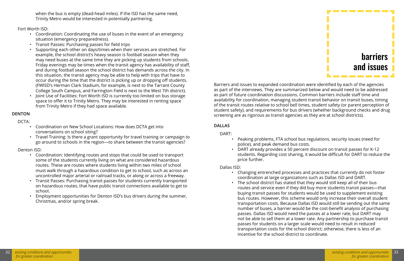when the bus is empty (dead-head miles). If the ISD has the same need, Trinity Metro would be interested in potentially partnering.

#### Fort Worth ISD:

- Coordination: Coordinating the use of buses in the event of an emergency situation (emergency preparedness).
- Transit Passes: Purchasing passes for field trips
- Supporting each other on days/times when their services are stretched. For example, the school district's heavy season is football season when they may need buses at the same time they are picking up students from schools. Friday evenings may be times when the transit agency has availability of staff, and during football season the school district has demands across the city. In this situation, the transit agency may be able to help with trips that have to occur during the time that the district is picking up or dropping off students. (FWISD's Herman Clark Stadium, for example, is next to the Tarrant County College South Campus, and Farrington Field is next to the West 7th district).
- Joint Use of Facilities: Fort Worth ISD is currently too limited on bus storage space to offer it to Trinity Metro. They may be interested in renting space from Trinity Metro if they had space available.

#### **DENTON**

DCTA:

- Coordination on New School Locations: How does DCTA get into conversations on school siting?
- Travel Training: Is there a grant opportunity for travel training or campaign to go around to schools in the region—to share between the transit agencies?

#### Denton ISD:

- Coordination: Identifying routes and stops that could be used to transport some of the students currently living on what are considered hazardous routes. These are routes where students living within two miles of school must walk through a hazardous condition to get to school, such as across an uncontrolled major arterial or railroad tracks, or along or across a freeway.
- Transit Passes: Purchasing transit passes for students currently transported on hazardous routes, that have public transit connections available to get to school.
- Employment opportunities for Denton ISD's bus drivers during the summer, Christmas, and/or spring break.



Barriers and issues to expanded coordination were identified by each of the agencies as part of the interviews. They are summarized below and would need to be addressed as part of future coordination discussions. Common barriers include staff time and availability for coordination, managing student transit behavior on transit buses, timing of the transit routes relative to school bell times, student safety (or parent perception of student safety), and requirements for bus drivers (whether background checks and drug screening are as rigorous as transit agencies as they are at school districts).

#### **DALLAS**

DART:

• Peaking problems, FTA school bus regulations, security issues (need for

- police), and peak demand bus costs.
- price further.

• DART already provides a 50 percent discount on transit passes for K-12 students. Regarding cost sharing, it would be difficult for DART to reduce the

Dallas ISD:

• Changing entrenched processes and practices that currently do not foster coordination at large organizations such as Dallas ISD and DART. • The school district has stated that they would still keep all of their bus routes and service even if they did buy more students transit passes—that buying transit passes for students would be used to supplement existing bus routes. However, this scheme would only increase their overall student transportation costs. Because Dallas ISD would still be sending out the same number of buses, a barrier would be the cost-benefit analysis of purchasing passes. Dallas ISD would need the passes at a lower rate, but DART may not be able to sell them at a lower rate. Any partnership to purchase transit passes for students on a larger scale would need to result in reduced transportation costs for the school district; otherwise, there is less of an

- 
- incentive for the school district to coordinate.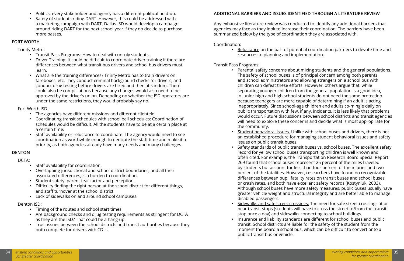- Politics: every stakeholder and agency has a different political hold-up.
- Safety of students riding DART. However, this could be addressed with a marketing campaign with DART. Dallas ISD would develop a campaign around riding DART for the next school year if they do decide to purchase more passes.

#### **FORT WORTH**

Trinity Metro:

- Transit Pass Programs: How to deal with unruly students.
- Driver Training: It could be difficult to coordinate driver training if there are differences between what transit bus drivers and school bus drivers must learn.
- What are the training differences? Trinity Metro has to train drivers on fareboxes, etc. They conduct criminal background checks for drivers, and conduct drug testing before drivers are hired and then at random. There could also be complications because any changes would also need to be approved by the driver's union. Depending on whether the ISD operators are under the same restrictions, they would probably say no.

#### Fort Worth ISD:

- The agencies have different missions and different clientele.
- Coordinating transit schedules with school bell schedules: Coordination of schedules would be difficult. All the students have to be at a certain place at a certain time.
- Staff availability or reluctance to coordinate. The agency would need to see coordination as worthwhile enough to dedicate the staff time and make it a priority, as both agencies already have many needs and many challenges.

#### **DENTON**

DCTA:

- Staff availability for coordination.
- Overlapping jurisdictional and school district boundaries, and all their associated differences, is a burden to coordination.
- Student safety: parent fear factor and perception.
- Difficulty finding the right person at the school district for different things, and staff turnover at the school district.
- Lack of sidewalks on and around school campuses.

#### Denton ISD:

- Timing of the routes and school start times.
- Are background checks and drug testing requirements as stringent for DCTA as they are the ISD? That could be a hang-up.
- Trust issues between the school districts and transit authorities because they both complete for drivers with CDLs.

#### **ADDITIONAL BARRIERS AND ISSUES IDENTIFIED THROUGH A LITERATURE REVIEW**

Any exhaustive literature review was conducted to identify any additional barriers that agencies may face as they look to increase their coordination. The barriers have been summarized below by the type of coordination they are associated with.

#### Coordination:

• Reluctance on the part of potential coordination partners to devote time and

resources to planning and implementation.

#### Transit Pass Programs:

• Parental safety concerns about mixing students and the general populations. The safety of school buses is of principal concern among both parents and school administrators and allowing strangers on a school bus with children can defeat these efforts. However, others argue that, while separating younger children from the general population is a good idea, in junior high and high school students do not need the same protection because teenagers are more capable of determining if an adult is acting inappropriately. Since school-age children and adults co-mingle daily on public transportation with few, if any, incidents, it is less likely that problems would occur. Future discussions between school districts and transit agencies will need to explore these concerns and decide what is most appropriate for

• Student behavioral issues. Unlike with school buses and drivers, there is not an established procedure for managing student behavioral issues and safety

• Safety standards of public transit buses vs. school buses. The excellent safety record for yellow school buses transporting children is well known and often cited. For example, the Transportation Research Board Special Report 269 found that school buses represent 25 percent of the miles traveled by students but account for less than four percent of the injuries and two percent of the fatalities. However, researchers have found no recognizable differences between pupil fatality rates on transit buses and school buses or crash rates, and both have excellent safety records (Kostyniuk, 2003). Although school buses have more safety measures, public buses usually have greater vehicle weight and structural integrity and are better able to manage

- the community.
- issues on public transit buses.
- disabled passengers.
- 
- public transit bus or vehicle.

• Sidewalks and safe street crossings: The need for safe street crossings at or near transit stops (students will have to cross the street to/from the transit stop once a day) and sidewalks connecting to school buildings.

• Insurance and liability standards are different for school buses and public transit. School districts are liable for the safety of the student from the moment the board a school bus, which can be difficult to convert onto a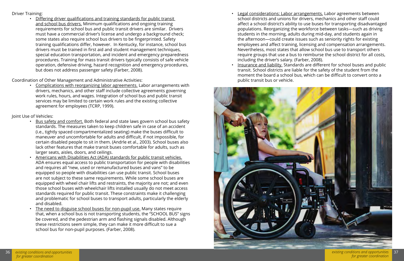#### Driver Training:

• Differing driver qualifications and training standards for public transit and school bus drivers. Minimum qualifications and ongoing training requirements for school bus and public transit drivers are similar. Drivers must have a commercial driver's license and undergo a background check; some states also require school bus drivers to be fingerprinted. Safety training qualifications differ, however. In Kentucky, for instance, school bus drivers must be trained in first aid and student management techniques, special education transportation, and incident and emergency preparedness procedures. Training for mass transit drivers typically consists of safe vehicle operation, defensive driving, hazard recognition and emergency procedures, but does not address passenger safety (Farber, 2008).

Coordination of Other Management and Administrative Activities:

• Complications with reorganizing labor agreements. Labor arrangements with drivers, mechanics, and other staff include collective agreements governing work rules, hours, and wages. Integration of school bus and public transit services may be limited to certain work rules and the existing collective agreement for employees (TCRP, 1999).

Joint Use of Vehicles:

Legal considerations: Labor arrangements. Labor agreements between school districts and unions for drivers, mechanics and other staff could affect a school district's ability to use buses for transporting disadvantaged populations. Reorganizing the workforce between tasks—such as driving students in the morning, adults during mid-day, and students again in the afternoon—could create issues such as seniority rights for existing employees and affect training, licensing and compensation arrangements. Nevertheless, most states that allow school bus use to transport others require groups that use a bus to reimburse the school district for all costs,

- Bus safety and comfort. Both federal and state laws govern school bus safety standards. The measures taken to keep children safe in case of an accident (i.e., tightly spaced compartmentalized seating) make the buses difficult to maneuver and uncomfortable for adults and difficult, if not impossible, for certain disabled people to sit in them. (Andrle et al., 2003). School buses also lack other features that make transit buses comfortable for adults, such as larger seats, aisles, doors, and ceilings.
- Americans with Disabilities Act (ADA) standards for public transit vehicles. ADA ensures equal access to public transportation for people with disabilities and requires all "new, used or remanufactured buses and vans" to be equipped so people with disabilities can use public transit. School buses are not subject to these same requirements. While some school buses are equipped with wheel chair lifts and restraints, the majority are not; and even those school buses with wheelchair lifts installed usually do not meet access standards required for public transit. These constraints make it challenging and problematic for school buses to transport adults, particularly the elderly and disabled.
- The need to disguise school buses for non-pupil use. Many states require that, when a school bus is not transporting students, the "SCHOOL BUS" signs be covered, and the pedestrian arm and flashing signals disabled. Although these restrictions seem simple, they can make it more difficult to sue a school bus for non-pupil purposes. (Farber, 2008).
- including the driver's salary. (Farber, 2008).
- public transit bus or vehicle.



• Insurance and liability. Standards are different for school buses and public transit. School districts are liable for the safety of the student from the moment the board a school bus, which can be difficult to convert onto a

 *for greater coordination*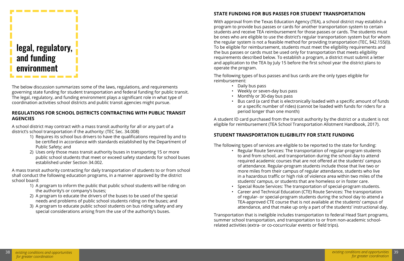

--------

The below discussion summarizes some of the laws, regulations, and requirements governing state funding for student transportation and federal funding for public transit. The legal, regulatory, and funding environment plays a significant role in what type of coordination activities school districts and public transit agencies might pursue.

#### **REGULATIONS FOR SCHOOL DISTRICTS CONTRACTING WITH PUBLIC TRANSIT AGENCIES**

A school district may contract with a mass transit authority for all or any part of a district's school transportation if the authority: (TEC Sec. 34.008)

- 1) Requires its school bus drivers to have the qualifications required by and to be certified in accordance with standards established by the Department of Public Safety; and
- 2) Uses only those mass transit authority buses in transporting 15 or more public school students that meet or exceed safety standards for school buses established under Section 34.002.

A mass transit authority contracting for daily transportation of students to or from school shall conduct the following education programs, in a manner approved by the district school board:

- 1) A program to inform the public that public school students will be riding on the authority's or company's buses;
- 2) A program to educate the drivers of the buses to be used of the special needs and problems of public school students riding on the buses; and
- 3) A program to educate public school students on bus riding safety and any special considerations arising from the use of the authority's buses.

#### **STATE FUNDING FOR BUS PASSES FOR STUDENT TRANSPORTATION**

With approval from the Texas Education Agency (TEA), a school district may establish a program to provide bus passes or cards for another transportation system to certain students and receive TEA reimbursement for those passes or cards. The students must be ones who are eligible to use the district's regular transportation system but for whom the regular system is not a feasible method for providing transportation (TEC, §42.155(l)). To be eligible for reimbursement, students must meet the eligibility requirements and the bus passes or cards must be used only for transportation that meets eligibility requirements described below. To establish a program, a district must submit a letter and application to the TEA by July 15 before the first school year the district plans to operate the program.

The following types of bus passes and bus cards are the only types eligible for reimbursement:

- Daily bus pass
- Weekly or seven-day bus pass
- Monthly or 30-day bus pass
- period longer than one month)

• Bus card (a card that is electronically loaded with a specific amount of funds or a specific number of rides) (cannot be loaded with funds for riders for a

A student ID card purchased from the transit authority by the district or a student is not eligible for reimbursement (TEA School Transportation Allotment Handbook, 2017).

#### **STUDENT TRANSPORTATION ELIGIBILITY FOR STATE FUNDING**

The following types of services are eligible to be reported to the state for funding: • Regular Route Services: The transportation of regular-program students to and from school, and transportation during the school day to attend required academic courses that are not offered at the students' campus of attendance. Regular-program students include those that live two or more miles from their campus of regular attendance, students who live in a hazardous traffic or high risk of violence area within two miles of the students' campus, or students that are homeless or in foster care. • Special Route Services: The transportation of special-program students. • Career and Technical Education (CTE) Route Services: The transportation of regular- or special-program students during the school day to attend a TEA-approved CTE course that is not available at the students' campus of attendance, and that make up only a part of the students' instructional day.

- 
- 
- 

Transportation that is ineligible includes transportation to federal Head Start programs, summer school transportation, and transportation to or from non-academic schoolrelated activities (extra- or co-cocurricular events or field trips).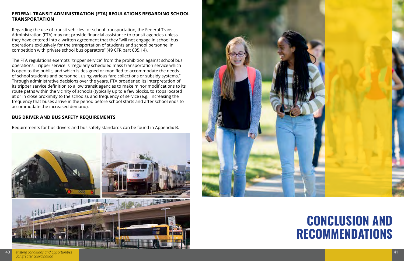## **CONCLUSION AND RECOMMENDATIONS**

#### **FEDERAL TRANSIT ADMINISTRATION (FTA) REGULATIONS REGARDING SCHOOL TRANSPORTATION**

Regarding the use of transit vehicles for school transportation, the Federal Transit Administration (FTA) may not provide financial assistance to transit agencies unless they have entered into a written agreement that they "will not engage in school bus operations exclusively for the transportation of students and school personnel in competition with private school bus operators" (49 CFR part 605.14).

The FTA regulations exempts "tripper service" from the prohibition against school bus operations. Tripper service is "regularly scheduled mass transportation service which is open to the public, and which is designed or modified to accommodate the needs of school students and personnel, using various fare collections or subsidy systems." Through administrative decisions over the years, FTA broadened its interpretation of its tripper service definition to allow transit agencies to make minor modifications to its route paths within the vicinity of schools (typically up to a few blocks, to stops located at or in close proximity to the schools), and frequency of service (e.g., increasing the frequency that buses arrive in the period before school starts and after school ends to accommodate the increased demand).

#### **BUS DRIVER AND BUS SAFETY REQUIREMENTS**

Requirements for bus drivers and bus safety standards can be found in Appendix B.



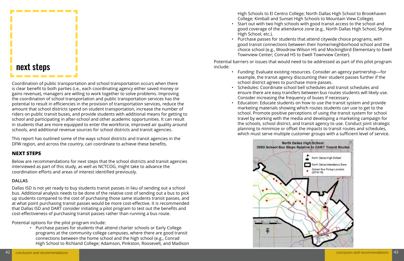### next steps

--------

High Schools to El Centro College; North Dallas High School to Brookhaven College; Kimball and Sunset High Schools to Mountain View College). • Start out with two high schools with good transit access to the school and good coverage of the attendance zone (e.g., North Dallas High School, Skyline

• Purchase passes for students that attend citywide choice programs, with good transit connections between their home/neighborhood school and the choice school (e.g., Woodrow Wilson HS and Mockingbird Elementary to Ewell

- High School, etc.).
- Townview Center; Conrad HS to Ewell Townview Center).

Potential barriers or issues that would need to be addressed as part of this pilot program include:

> • Funding: Evaluate existing resources. Consider an agency partnership—for example, the transit agency discounting their student passes further if the

• Schedules: Coordinate school bell schedules and transit schedules and ensure there are easy transfers between bus routes students will likely use.

- school district agrees to purchase more passes.
- Consider increasing the frequency of buses if necessary.
- 



• Education: Educate students on how to use the transit system and provide marketing materials showing which routes students can use to get to the school. Promote positive perceptions of using the transit system for school travel by working with the media and developing a marketing campaign for the schools, school district, and transit agency to use. Conduct joint strategic planning to minimize or offset the impacts to transit routes and schedules, which must serve multiple customer groups with a sufficient level of service.

Coordination of public transportation and school transportation occurs when there is clear benefit to both parties (i.e., each coordinating agency either saved money or gains revenue), managers are willing to work together to solve problems. Improving the coordination of school transportation and public transportation services has the potential to result in efficiencies in the provision of transportation services, reduce the amount that school districts spend on student transportation, increase the number of riders on public transit buses, and provide students with additional means for getting to school and participating in after-school and other academic opportunities. It can result in students that are more equipped to enter the workforce, improved air quality around schools, and additional revenue sources for school districts and transit agencies.

This report has outlined some of the ways school districts and transit agencies in the DFW region, and across the country, can coordinate to achieve these benefits.

#### **NEXT STEPS**

Below are recommendations for next steps that the school districts and transit agencies interviewed as part of this study, as well as NCTCOG, might take to advance the coordination efforts and areas of interest identified previously.

#### **DALLAS**

Dallas ISD is not yet ready to buy students transit passes in lieu of sending out a school bus. Additional analysis needs to be done of the relative cost of sending out a bus to pick up students compared to the cost of purchasing those same students transit passes, and at what point purchasing transit passes would be more cost-effective. It is recommended that Dallas ISD and DART consider initiating a pilot program to test out the benefits and cost-effectiveness of purchasing transit passes rather than running a bus route.

Potential options for the pilot program include:

• Purchase passes for students that attend charter schools or Early College programs at the community college campuses, where there are good transit connections between the home school and the high school (e.g., Conrad High School to Richland College; Adamson, Pinkston, Roosevelt, and Madison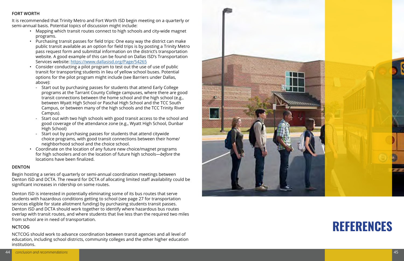### **REFERENCES**

#### **FORT WORTH**

It is recommended that Trinity Metro and Fort Worth ISD begin meeting on a quarterly or semi-annual basis. Potential topics of discussion might include:

- Mapping which transit routes connect to high schools and city-wide magnet programs.
- Purchasing transit passes for field trips: One easy way the district can make public transit available as an option for field trips is by posting a Trinity Metro pass request form and submittal information on the district's transportation website. A good example of this can be found on Dallas ISD's Transportation Services website:<https://www.dallasisd.org/Page/54265>
- Consider conducting a pilot program to test out the use of use of public transit for transporting students in lieu of yellow school buses. Potential options for the pilot program might include (see Barriers under Dallas, above):
	- Start out by purchasing passes for students that attend Early College programs at the Tarrant County College campuses, where there are good transit connections between the home school and the high school (e.g., between Wyatt High School or Paschal High School and the TCC South Campus, or between many of the high schools and the TCC Trinity River Campus).
	- Start out with two high schools with good transit access to the school and good coverage of the attendance zone (e.g., Wyatt High School, Dunbar High School)
	- Start out by purchasing passes for students that attend citywide choice programs, with good transit connections between their home/ neighborhood school and the choice school.
- Coordinate on the location of any future new choice/magnet programs for high schoolers and on the location of future high schools—*before* the locations have been finalized.

#### **DENTON**

Begin hosting a series of quarterly or semi-annual coordination meetings between Denton ISD and DCTA. The reward for DCTA of allocating limited staff availability could be significant increases in ridership on some routes.

Denton ISD is interested in potentially eliminating some of its bus routes that serve students with hazardous conditions getting to school (see page 27 for transportation services eligible for state allotment funding) by purchasing students transit passes. Denton ISD and DCTA should work together to identify where hazardous bus routes overlap with transit routes, and where students that live less than the required two miles from school are in need of transportation.

#### **NCTCOG**

NCTCOG should work to advance coordination between transit agencies and all level of education, including school districts, community colleges and the other higher education institutions.